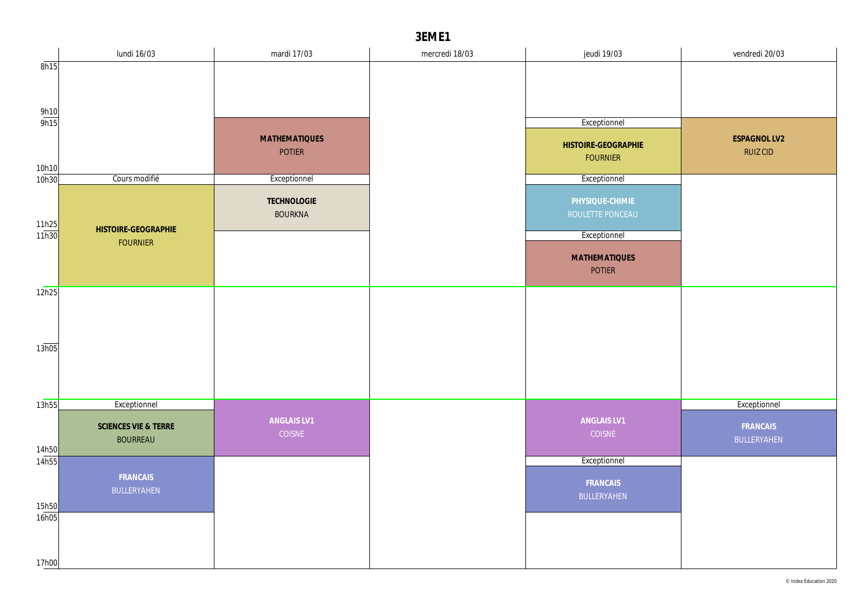|                       | lundi 16/03          | mardi 17/03           | mercredi 18/03 | jeudi 19/03                            | vendredi 20/03  |
|-----------------------|----------------------|-----------------------|----------------|----------------------------------------|-----------------|
| 8h15                  |                      |                       |                |                                        |                 |
|                       |                      |                       |                |                                        |                 |
|                       |                      |                       |                |                                        |                 |
| $\frac{9h10}{9h15}$   |                      |                       |                | Exceptionnel                           |                 |
|                       |                      | <b>MATHEMATIQUES</b>  |                |                                        | ESPAGNOL LV2    |
|                       |                      | <b>POTIER</b>         |                | HISTOIRE-GEOGRAPHIE<br><b>FOURNIER</b> | <b>RUIZ CID</b> |
| 10h10                 |                      |                       |                |                                        |                 |
| 10h30                 | Cours modifié        | Exceptionnel          |                | Exceptionnel                           |                 |
|                       |                      | TECHNOLOGIE           |                | PHYSIQUE-CHIMIE                        |                 |
|                       |                      | <b>BOURKNA</b>        |                | ROULETTE PONCEAU                       |                 |
| $\frac{11h25}{11h30}$ | HISTOIRE-GEOGRAPHIE  |                       |                | Exceptionnel                           |                 |
|                       | <b>FOURNIER</b>      |                       |                |                                        |                 |
|                       |                      |                       |                | <b>MATHEMATIQUES</b><br>POTIER         |                 |
|                       |                      |                       |                |                                        |                 |
| 12h25                 |                      |                       |                |                                        |                 |
|                       |                      |                       |                |                                        |                 |
|                       |                      |                       |                |                                        |                 |
| 13h05                 |                      |                       |                |                                        |                 |
|                       |                      |                       |                |                                        |                 |
|                       |                      |                       |                |                                        |                 |
|                       |                      |                       |                |                                        |                 |
| 13h55                 | Exceptionnel         |                       |                |                                        | Exceptionnel    |
|                       | SCIENCES VIE & TERRE | ANGLAIS LV1<br>COISNE |                | ANGLAIS LV1<br>COISNE                  | FRANCAIS        |
| 14h50                 | <b>BOURREAU</b>      |                       |                |                                        | BULLERYAHEN     |
| 14h55                 |                      |                       |                | Exceptionnel                           |                 |
|                       | FRANCAIS             |                       |                | FRANCAIS                               |                 |
|                       | BULLERYAHEN          |                       |                | BULLERYAHEN                            |                 |
| 15h50                 |                      |                       |                |                                        |                 |
| 16h05                 |                      |                       |                |                                        |                 |
|                       |                      |                       |                |                                        |                 |
| 17h00                 |                      |                       |                |                                        |                 |
|                       |                      |                       |                |                                        |                 |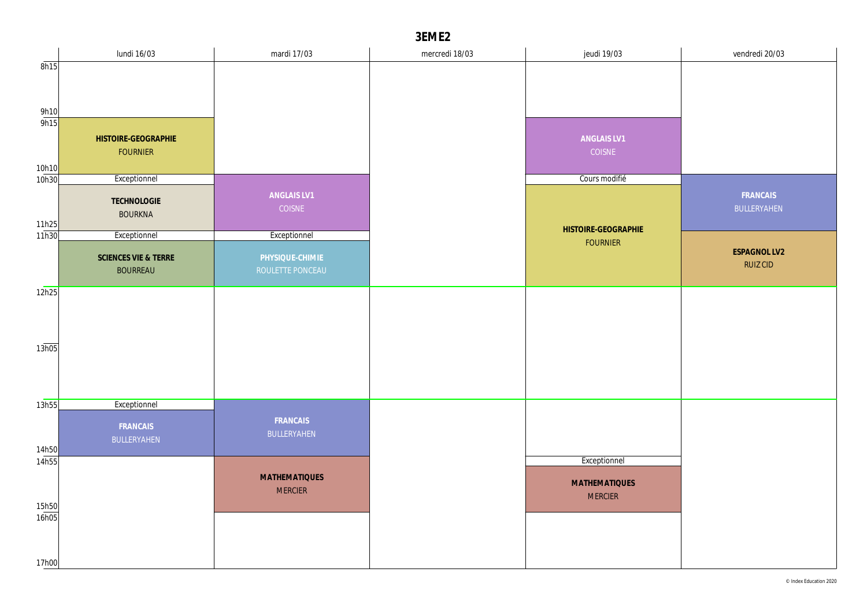|                | lundi 16/03          | mardi 17/03          | mercredi 18/03 | jeudi 19/03          | vendredi 20/03  |
|----------------|----------------------|----------------------|----------------|----------------------|-----------------|
| 8h15           |                      |                      |                |                      |                 |
|                |                      |                      |                |                      |                 |
|                |                      |                      |                |                      |                 |
| 9h10<br>9h15   |                      |                      |                |                      |                 |
|                | HISTOIRE-GEOGRAPHIE  |                      |                | ANGLAIS LV1          |                 |
|                | <b>FOURNIER</b>      |                      |                | COISNE               |                 |
| 10h10          |                      |                      |                |                      |                 |
| 10h30          | Exceptionnel         |                      |                | Cours modifié        |                 |
|                | TECHNOLOGIE          | ANGLAIS LV1          |                |                      | FRANCAIS        |
|                | <b>BOURKNA</b>       | COISNE               |                |                      | BULLERYAHEN     |
| 11h25<br>11h30 | Exceptionnel         | Exceptionnel         |                | HISTOIRE-GEOGRAPHIE  |                 |
|                |                      |                      |                | <b>FOURNIER</b>      | ESPAGNOL LV2    |
|                | SCIENCES VIE & TERRE | PHYSIQUE-CHIMIE      |                |                      | <b>RUIZ CID</b> |
|                | <b>BOURREAU</b>      | ROULETTE PONCEAU     |                |                      |                 |
| 12h25          |                      |                      |                |                      |                 |
|                |                      |                      |                |                      |                 |
|                |                      |                      |                |                      |                 |
| 13h05          |                      |                      |                |                      |                 |
|                |                      |                      |                |                      |                 |
|                |                      |                      |                |                      |                 |
|                |                      |                      |                |                      |                 |
| 13h55          | Exceptionnel         |                      |                |                      |                 |
|                | FRANCAIS             | FRANCAIS             |                |                      |                 |
|                | BULLERYAHEN          | BULLERYAHEN          |                |                      |                 |
| 14h50<br>14h55 |                      |                      |                | Exceptionnel         |                 |
|                |                      | <b>MATHEMATIQUES</b> |                |                      |                 |
|                |                      | <b>MERCIER</b>       |                | <b>MATHEMATIQUES</b> |                 |
| 15h50          |                      |                      |                | <b>MERCIER</b>       |                 |
| 16h05          |                      |                      |                |                      |                 |
|                |                      |                      |                |                      |                 |
|                |                      |                      |                |                      |                 |
| 17h00          |                      |                      |                |                      |                 |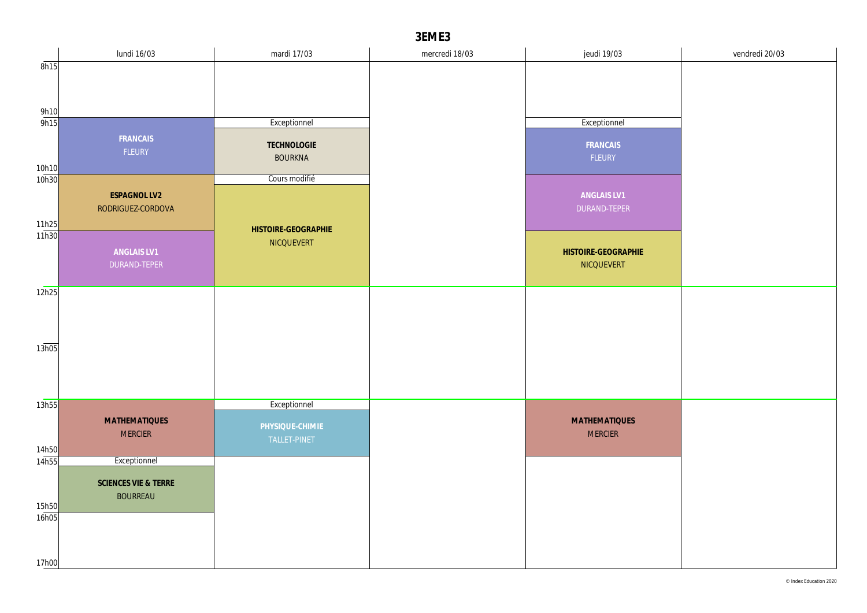|                | lundi 16/03                 | mardi 17/03         | mercredi 18/03 | jeudi 19/03                       | vendredi 20/03 |
|----------------|-----------------------------|---------------------|----------------|-----------------------------------|----------------|
| 8h15           |                             |                     |                |                                   |                |
|                |                             |                     |                |                                   |                |
|                |                             |                     |                |                                   |                |
| 9h10<br>9h15   |                             | Exceptionnel        |                | Exceptionnel                      |                |
|                | FRANCAIS                    |                     |                |                                   |                |
|                | FLEURY                      | TECHNOLOGIE         |                | FRANCAIS                          |                |
| 10h10          |                             | <b>BOURKNA</b>      |                | FLEURY                            |                |
| 10h30          |                             | Cours modifié       |                |                                   |                |
|                | ESPAGNOL LV2                |                     |                | ANGLAIS LV1                       |                |
|                | RODRIGUEZ-CORDOVA           |                     |                | DURAND-TEPER                      |                |
| 11h25<br>11h30 |                             | HISTOIRE-GEOGRAPHIE |                |                                   |                |
|                |                             | NICQUEVERT          |                |                                   |                |
|                | ANGLAIS LV1<br>DURAND-TEPER |                     |                | HISTOIRE-GEOGRAPHIE<br>NICQUEVERT |                |
|                |                             |                     |                |                                   |                |
| 12h25          |                             |                     |                |                                   |                |
|                |                             |                     |                |                                   |                |
|                |                             |                     |                |                                   |                |
|                |                             |                     |                |                                   |                |
| 13h05          |                             |                     |                |                                   |                |
|                |                             |                     |                |                                   |                |
|                |                             |                     |                |                                   |                |
| 13h55          |                             | Exceptionnel        |                |                                   |                |
|                | <b>MATHEMATIQUES</b>        | PHYSIQUE-CHIMIE     |                | <b>MATHEMATIQUES</b>              |                |
|                | <b>MERCIER</b>              | TALLET-PINET        |                | <b>MERCIER</b>                    |                |
| 14h50          |                             |                     |                |                                   |                |
| 14h55          | Exceptionnel                |                     |                |                                   |                |
|                | SCIENCES VIE & TERRE        |                     |                |                                   |                |
|                | <b>BOURREAU</b>             |                     |                |                                   |                |
| 15h50<br>16h05 |                             |                     |                |                                   |                |
|                |                             |                     |                |                                   |                |
|                |                             |                     |                |                                   |                |
| 17h00          |                             |                     |                |                                   |                |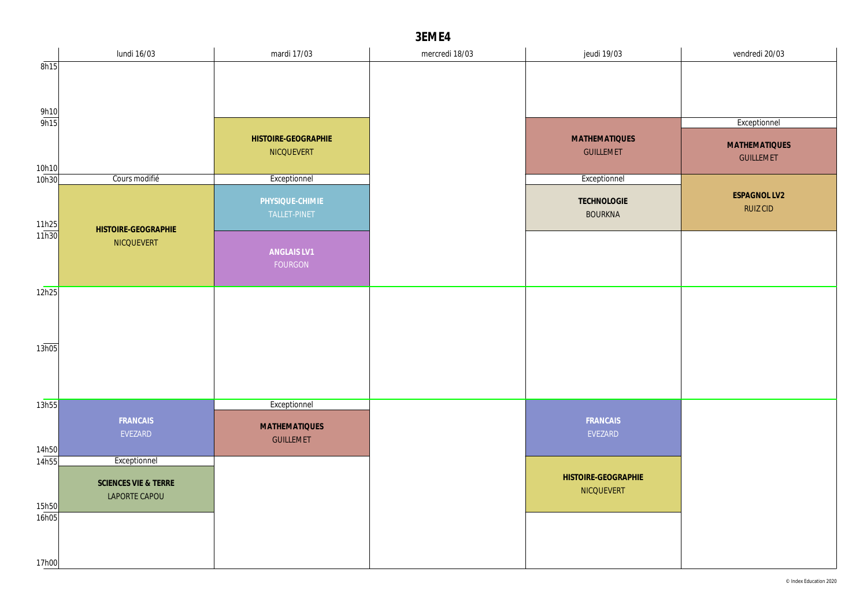|                | lundi 16/03                           | mardi 17/03                              | mercredi 18/03 | jeudi 19/03                              | vendredi 20/03                           |
|----------------|---------------------------------------|------------------------------------------|----------------|------------------------------------------|------------------------------------------|
| 8h15           |                                       |                                          |                |                                          |                                          |
|                |                                       |                                          |                |                                          |                                          |
| 9h10           |                                       |                                          |                |                                          |                                          |
| 9h15           |                                       |                                          |                |                                          | Exceptionnel                             |
| 10h10          |                                       | HISTOIRE-GEOGRAPHIE<br>NICQUEVERT        |                | <b>MATHEMATIQUES</b><br><b>GUILLEMET</b> | <b>MATHEMATIQUES</b><br><b>GUILLEMET</b> |
| 10h30          | Cours modifié                         | Exceptionnel                             |                | Exceptionnel                             |                                          |
| 11h25<br>11h30 | HISTOIRE-GEOGRAPHIE                   | PHYSIQUE-CHIMIE<br>TALLET-PINET          |                | TECHNOLOGIE<br><b>BOURKNA</b>            | ESPAGNOL LV2<br><b>RUIZ CID</b>          |
|                | NICQUEVERT<br>ANGLAIS LV1<br>FOURGON  |                                          |                |                                          |                                          |
| 12h25          |                                       |                                          |                |                                          |                                          |
|                |                                       |                                          |                |                                          |                                          |
| 13h05          |                                       |                                          |                |                                          |                                          |
|                |                                       |                                          |                |                                          |                                          |
| 13h55          |                                       | Exceptionnel                             |                |                                          |                                          |
| 14h50          | FRANCAIS<br>EVEZARD                   | <b>MATHEMATIQUES</b><br><b>GUILLEMET</b> |                | FRANCAIS<br>EVEZARD                      |                                          |
| 14h55          | Exceptionnel                          |                                          |                |                                          |                                          |
| 15h50          | SCIENCES VIE & TERRE<br>LAPORTE CAPOU |                                          |                | HISTOIRE-GEOGRAPHIE<br>NICQUEVERT        |                                          |
| 16h05          |                                       |                                          |                |                                          |                                          |
| 17h00          |                                       |                                          |                |                                          |                                          |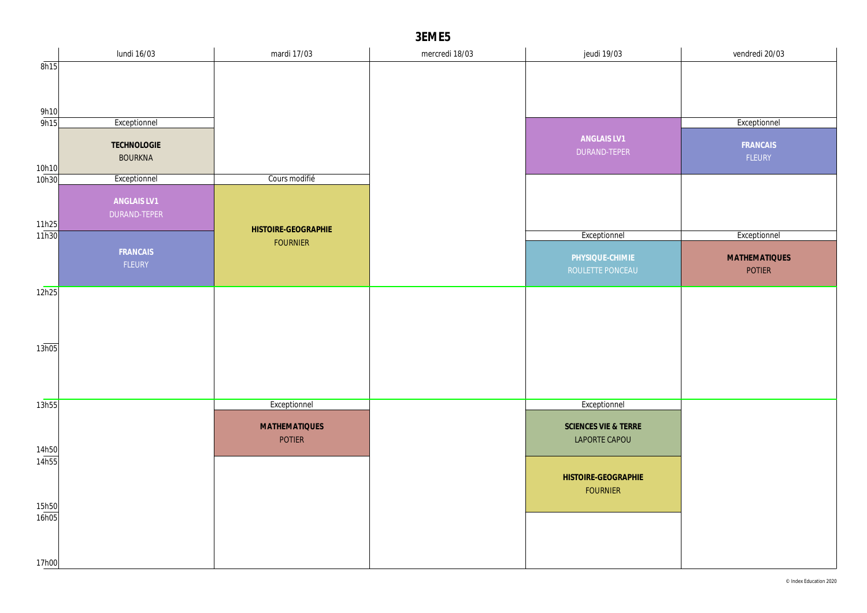|                       | lundi 16/03    | mardi 17/03          | mercredi 18/03 | jeudi 19/03                            | vendredi 20/03       |
|-----------------------|----------------|----------------------|----------------|----------------------------------------|----------------------|
| 8h15                  |                |                      |                |                                        |                      |
|                       |                |                      |                |                                        |                      |
|                       |                |                      |                |                                        |                      |
| 9h10                  |                |                      |                |                                        |                      |
| 9h15                  | Exceptionnel   |                      |                |                                        | Exceptionnel         |
|                       | TECHNOLOGIE    |                      |                | ANGLAIS LV1                            | FRANCAIS             |
|                       | <b>BOURKNA</b> |                      |                | DURAND-TEPER                           | FLEURY               |
| 10h10<br>10h30        | Exceptionnel   | Cours modifié        |                |                                        |                      |
|                       |                |                      |                |                                        |                      |
|                       | ANGLAIS LV1    |                      |                |                                        |                      |
|                       | DURAND-TEPER   |                      |                |                                        |                      |
| $\frac{11h25}{11h30}$ |                | HISTOIRE-GEOGRAPHIE  |                | Exceptionnel                           | Exceptionnel         |
|                       | FRANCAIS       | <b>FOURNIER</b>      |                |                                        |                      |
|                       | FLEURY         |                      |                | PHYSIQUE-CHIMIE                        | <b>MATHEMATIQUES</b> |
|                       |                |                      |                | ROULETTE PONCEAU                       | POTIER               |
| 12h25                 |                |                      |                |                                        |                      |
|                       |                |                      |                |                                        |                      |
|                       |                |                      |                |                                        |                      |
|                       |                |                      |                |                                        |                      |
| 13h05                 |                |                      |                |                                        |                      |
|                       |                |                      |                |                                        |                      |
|                       |                |                      |                |                                        |                      |
|                       |                |                      |                |                                        |                      |
| 13h55                 |                | Exceptionnel         |                | Exceptionnel                           |                      |
|                       |                | <b>MATHEMATIQUES</b> |                | SCIENCES VIE & TERRE                   |                      |
|                       |                | <b>POTIER</b>        |                | LAPORTE CAPOU                          |                      |
| 14h50<br>14h55        |                |                      |                |                                        |                      |
|                       |                |                      |                |                                        |                      |
|                       |                |                      |                | HISTOIRE-GEOGRAPHIE<br><b>FOURNIER</b> |                      |
| 15h50                 |                |                      |                |                                        |                      |
| 16h05                 |                |                      |                |                                        |                      |
|                       |                |                      |                |                                        |                      |
|                       |                |                      |                |                                        |                      |
| 17h00                 |                |                      |                |                                        |                      |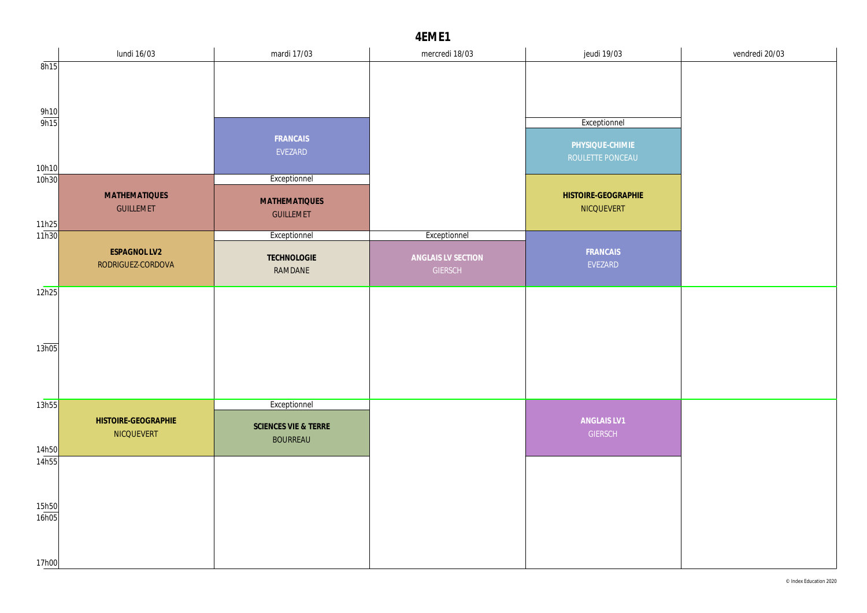|                     | lundi 16/03                              | mardi 17/03          | mercredi 18/03     | jeudi 19/03                       | vendredi 20/03 |
|---------------------|------------------------------------------|----------------------|--------------------|-----------------------------------|----------------|
| 8h15                |                                          |                      |                    |                                   |                |
|                     |                                          |                      |                    |                                   |                |
| $\frac{9h10}{9h15}$ |                                          |                      |                    |                                   |                |
|                     |                                          |                      |                    | Exceptionnel                      |                |
|                     |                                          | FRANCAIS<br>EVEZARD  |                    | PHYSIQUE-CHIMIE                   |                |
| 10h10               |                                          |                      |                    | ROULETTE PONCEAU                  |                |
| 10h30               |                                          | Exceptionnel         |                    |                                   |                |
|                     | <b>MATHEMATIQUES</b><br><b>GUILLEMET</b> | <b>MATHEMATIQUES</b> |                    | HISTOIRE-GEOGRAPHIE<br>NICQUEVERT |                |
|                     |                                          | <b>GUILLEMET</b>     |                    |                                   |                |
| 11h25<br>11h30      |                                          | Exceptionnel         | Exceptionnel       |                                   |                |
|                     | ESPAGNOL LV2<br>RODRIGUEZ-CORDOVA        | TECHNOLOGIE          | ANGLAIS LV SECTION | FRANCAIS<br>EVEZARD               |                |
|                     |                                          | RAMDANE              | <b>GIERSCH</b>     |                                   |                |
| 12h25               |                                          |                      |                    |                                   |                |
|                     |                                          |                      |                    |                                   |                |
|                     |                                          |                      |                    |                                   |                |
| 13h05               |                                          |                      |                    |                                   |                |
|                     |                                          |                      |                    |                                   |                |
|                     |                                          |                      |                    |                                   |                |
| 13h55               |                                          | Exceptionnel         |                    |                                   |                |
|                     | HISTOIRE-GEOGRAPHIE<br>NICQUEVERT        | SCIENCES VIE & TERRE |                    | ANGLAIS LV1<br><b>GIERSCH</b>     |                |
| 14h50               |                                          | <b>BOURREAU</b>      |                    |                                   |                |
| 14h55               |                                          |                      |                    |                                   |                |
|                     |                                          |                      |                    |                                   |                |
| 15h50               |                                          |                      |                    |                                   |                |
| 16h05               |                                          |                      |                    |                                   |                |
|                     |                                          |                      |                    |                                   |                |
| 17h00               |                                          |                      |                    |                                   |                |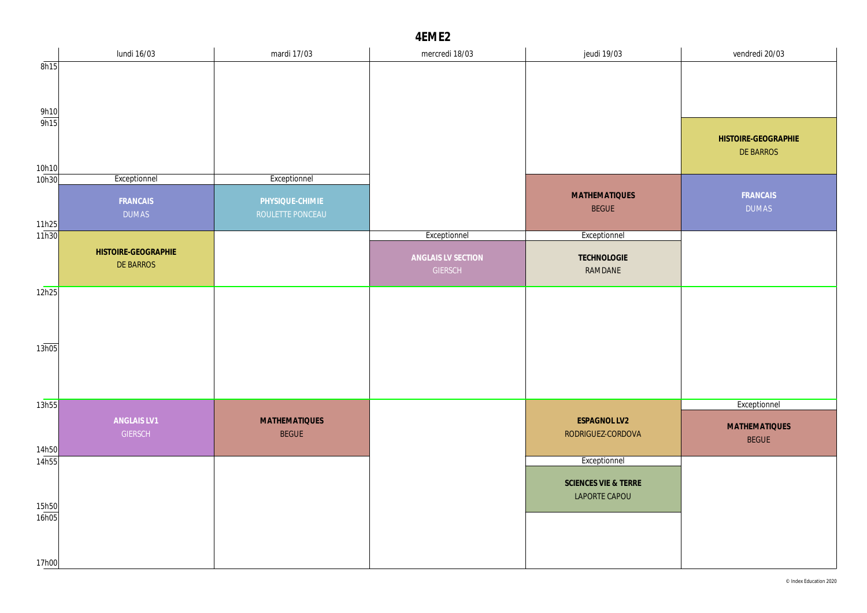|                              | lundi 16/03                      | mardi 17/03                          | mercredi 18/03                       | jeudi 19/03                           | vendredi 20/03                       |
|------------------------------|----------------------------------|--------------------------------------|--------------------------------------|---------------------------------------|--------------------------------------|
| 8h15                         |                                  |                                      |                                      |                                       |                                      |
|                              |                                  |                                      |                                      |                                       |                                      |
| $\frac{9h10}{9h15}$          |                                  |                                      |                                      |                                       |                                      |
|                              |                                  |                                      |                                      |                                       | HISTOIRE-GEOGRAPHIE<br>DE BARROS     |
| 10h10<br>10h30               | Exceptionnel                     | Exceptionnel                         |                                      |                                       |                                      |
|                              | FRANCAIS<br><b>DUMAS</b>         | PHYSIQUE-CHIMIE<br>ROULETTE PONCEAU  |                                      | <b>MATHEMATIQUES</b><br><b>BEGUE</b>  | FRANCAIS<br><b>DUMAS</b>             |
| 11 <mark>h25</mark><br>11h30 |                                  |                                      | Exceptionnel                         | Exceptionnel                          |                                      |
|                              | HISTOIRE-GEOGRAPHIE<br>DE BARROS |                                      | ANGLAIS LV SECTION<br><b>GIERSCH</b> | TECHNOLOGIE<br>RAMDANE                |                                      |
| 12h25                        |                                  |                                      |                                      |                                       |                                      |
|                              |                                  |                                      |                                      |                                       |                                      |
| 13h05                        |                                  |                                      |                                      |                                       |                                      |
|                              |                                  |                                      |                                      |                                       |                                      |
| 13h55                        |                                  |                                      |                                      |                                       | Exceptionnel                         |
| 14h50                        | ANGLAIS LV1<br><b>GIERSCH</b>    | <b>MATHEMATIQUES</b><br><b>BEGUE</b> |                                      | ESPAGNOL LV2<br>RODRIGUEZ-CORDOVA     | <b>MATHEMATIQUES</b><br><b>BEGUE</b> |
| 14h55                        |                                  |                                      |                                      | Exceptionnel                          |                                      |
| 15h50                        |                                  |                                      |                                      | SCIENCES VIE & TERRE<br>LAPORTE CAPOU |                                      |
| 16h05                        |                                  |                                      |                                      |                                       |                                      |
| 17h00                        |                                  |                                      |                                      |                                       |                                      |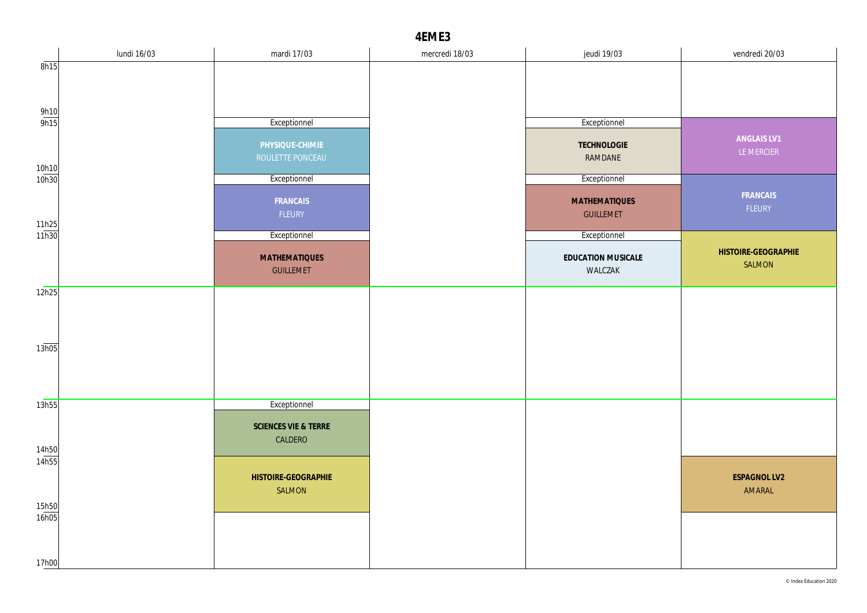|                       | lundi 16/03 | mardi 17/03          | mercredi 18/03 | jeudi 19/03          | vendredi 20/03      |
|-----------------------|-------------|----------------------|----------------|----------------------|---------------------|
| 8h15                  |             |                      |                |                      |                     |
|                       |             |                      |                |                      |                     |
|                       |             |                      |                |                      |                     |
| $\frac{9h10}{9h15}$   |             | Exceptionnel         |                | Exceptionnel         |                     |
|                       |             | PHYSIQUE-CHIMIE      |                | TECHNOLOGIE          | ANGLAIS LV1         |
|                       |             | ROULETTE PONCEAU     |                | RAMDANE              | LE MERCIER          |
| 10h10<br>10h30        |             | Exceptionnel         |                | Exceptionnel         |                     |
|                       |             | FRANCAIS             |                | <b>MATHEMATIQUES</b> | FRANCAIS            |
|                       |             | FLEURY               |                | <b>GUILLEMET</b>     | FLEURY              |
| $\frac{11h25}{11h30}$ |             |                      |                |                      |                     |
|                       |             | Exceptionnel         |                | Exceptionnel         | HISTOIRE-GEOGRAPHIE |
|                       |             | <b>MATHEMATIQUES</b> |                | EDUCATION MUSICALE   | SALMON              |
|                       |             | <b>GUILLEMET</b>     |                | WALCZAK              |                     |
| 12h25                 |             |                      |                |                      |                     |
|                       |             |                      |                |                      |                     |
|                       |             |                      |                |                      |                     |
| 13h05                 |             |                      |                |                      |                     |
|                       |             |                      |                |                      |                     |
|                       |             |                      |                |                      |                     |
| 13h55                 |             | Exceptionnel         |                |                      |                     |
|                       |             | SCIENCES VIE & TERRE |                |                      |                     |
|                       |             | CALDERO              |                |                      |                     |
| 14h50<br>14h55        |             |                      |                |                      |                     |
|                       |             | HISTOIRE-GEOGRAPHIE  |                |                      | ESPAGNOL LV2        |
|                       |             | SALMON               |                |                      | AMARAL              |
| 15h50                 |             |                      |                |                      |                     |
| 16h05                 |             |                      |                |                      |                     |
|                       |             |                      |                |                      |                     |
| 17h00                 |             |                      |                |                      |                     |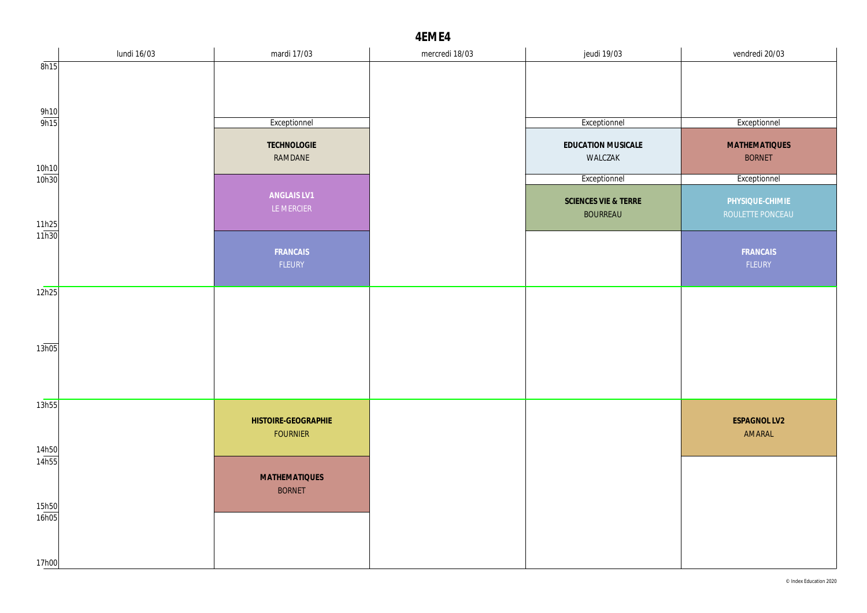|                     | lundi 16/03 | mardi 17/03                            | mercredi 18/03 | jeudi 19/03                             | vendredi 20/03                        |
|---------------------|-------------|----------------------------------------|----------------|-----------------------------------------|---------------------------------------|
| 8h15                |             |                                        |                |                                         |                                       |
|                     |             |                                        |                |                                         |                                       |
| $\frac{9h10}{9h15}$ |             | Exceptionnel                           |                | Exceptionnel                            | Exceptionnel                          |
|                     |             | TECHNOLOGIE<br>RAMDANE                 |                | EDUCATION MUSICALE<br>WALCZAK           | <b>MATHEMATIQUES</b><br><b>BORNET</b> |
| 10h10<br>10h30      |             |                                        |                | Exceptionnel                            | Exceptionnel                          |
|                     |             | ANGLAIS LV1<br>LE MERCIER              |                | SCIENCES VIE & TERRE<br><b>BOURREAU</b> | PHYSIQUE-CHIMIE<br>ROULETTE PONCEAU   |
| 11h25<br>11h30      |             | FRANCAIS<br>FLEURY                     |                |                                         | FRANCAIS<br>FLEURY                    |
| 12h25               |             |                                        |                |                                         |                                       |
|                     |             |                                        |                |                                         |                                       |
| 13h05               |             |                                        |                |                                         |                                       |
| 13h55               |             |                                        |                |                                         |                                       |
| 14h50               |             | HISTOIRE-GEOGRAPHIE<br><b>FOURNIER</b> |                |                                         | ESPAGNOL LV2<br>AMARAL                |
| 14h55               |             | <b>MATHEMATIQUES</b><br><b>BORNET</b>  |                |                                         |                                       |
| 15h50<br>16h05      |             |                                        |                |                                         |                                       |
| 17h00               |             |                                        |                |                                         |                                       |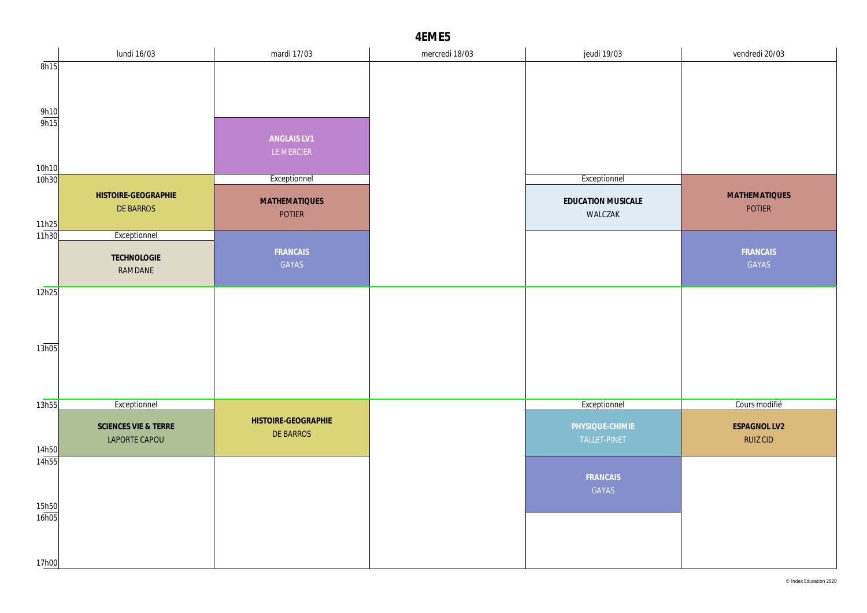|                     | lundi 16/03          | mardi 17/03                           | mercredi 18/03 | jeudi 19/03                   | vendredi 20/03       |
|---------------------|----------------------|---------------------------------------|----------------|-------------------------------|----------------------|
| 8h15                |                      |                                       |                |                               |                      |
|                     |                      |                                       |                |                               |                      |
|                     |                      |                                       |                |                               |                      |
| $\frac{9h10}{9h15}$ |                      |                                       |                |                               |                      |
|                     |                      | ANGLAIS LV1                           |                |                               |                      |
|                     |                      | LE MERCIER                            |                |                               |                      |
| 10h10<br>10h30      |                      | Exceptionnel                          |                | Exceptionnel                  |                      |
|                     | HISTOIRE-GEOGRAPHIE  |                                       |                |                               | <b>MATHEMATIQUES</b> |
|                     | DE BARROS            | <b>MATHEMATIQUES</b><br><b>POTIER</b> |                | EDUCATION MUSICALE<br>WALCZAK | <b>POTIER</b>        |
| 11h25               |                      |                                       |                |                               |                      |
| 11h30               | Exceptionnel         |                                       |                |                               |                      |
|                     | TECHNOLOGIE          | FRANCAIS<br>GAYAS                     |                |                               | FRANCAIS<br>GAYAS    |
|                     | RAMDANE              |                                       |                |                               |                      |
| 12h25               |                      |                                       |                |                               |                      |
|                     |                      |                                       |                |                               |                      |
|                     |                      |                                       |                |                               |                      |
| 13h05               |                      |                                       |                |                               |                      |
|                     |                      |                                       |                |                               |                      |
|                     |                      |                                       |                |                               |                      |
|                     |                      |                                       |                |                               | Cours modifié        |
| 13h55               | Exceptionnel         | HISTOIRE-GEOGRAPHIE                   |                | Exceptionnel                  |                      |
|                     | SCIENCES VIE & TERRE | <b>DE BARROS</b>                      |                | PHYSIQUE-CHIMIE               | <b>ESPAGNOL LV2</b>  |
| 14h50               | LAPORTE CAPOU        |                                       |                | TALLET-PINET                  | <b>RUIZ CID</b>      |
| 14h55               |                      |                                       |                |                               |                      |
|                     |                      |                                       |                | FRANCAIS                      |                      |
| 15h50               |                      |                                       |                | GAYAS                         |                      |
| 16h05               |                      |                                       |                |                               |                      |
|                     |                      |                                       |                |                               |                      |
|                     |                      |                                       |                |                               |                      |
| 17h00               |                      |                                       |                |                               |                      |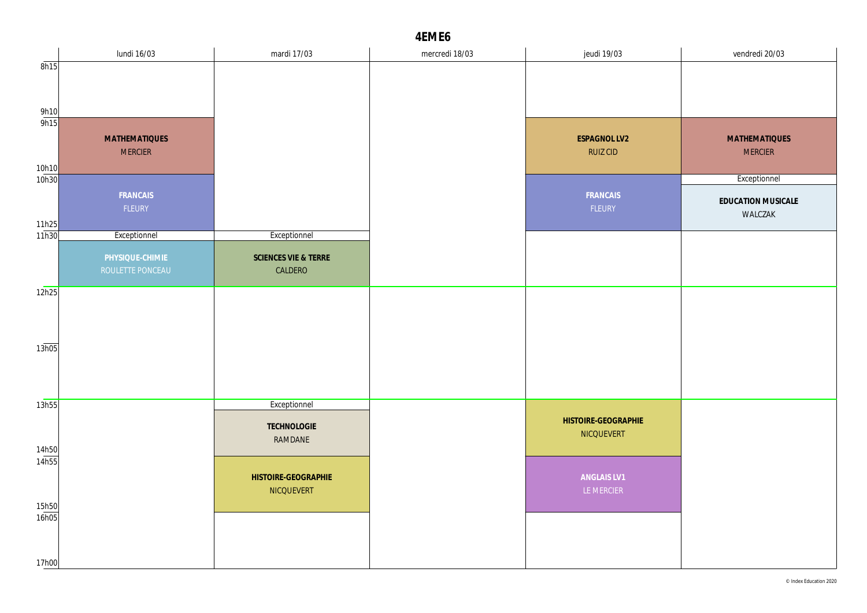|                     | lundi 16/03          | mardi 17/03          | mercredi 18/03 | jeudi 19/03         | vendredi 20/03       |
|---------------------|----------------------|----------------------|----------------|---------------------|----------------------|
| 8h15                |                      |                      |                |                     |                      |
|                     |                      |                      |                |                     |                      |
|                     |                      |                      |                |                     |                      |
| $\frac{9h10}{9h15}$ |                      |                      |                |                     |                      |
|                     | <b>MATHEMATIQUES</b> |                      |                | ESPAGNOL LV2        | <b>MATHEMATIQUES</b> |
|                     | <b>MERCIER</b>       |                      |                | <b>RUIZ CID</b>     | <b>MERCIER</b>       |
| 10h10               |                      |                      |                |                     |                      |
| 10h30               |                      |                      |                |                     | Exceptionnel         |
|                     | FRANCAIS             |                      |                | FRANCAIS            | EDUCATION MUSICALE   |
|                     | FLEURY               |                      |                | FLEURY              | WALCZAK              |
| 11h25               |                      |                      |                |                     |                      |
| 11h30               | Exceptionnel         | Exceptionnel         |                |                     |                      |
|                     | PHYSIQUE-CHIMIE      | SCIENCES VIE & TERRE |                |                     |                      |
|                     | ROULETTE PONCEAU     | CALDERO              |                |                     |                      |
| 12h25               |                      |                      |                |                     |                      |
|                     |                      |                      |                |                     |                      |
|                     |                      |                      |                |                     |                      |
|                     |                      |                      |                |                     |                      |
| 13h05               |                      |                      |                |                     |                      |
|                     |                      |                      |                |                     |                      |
|                     |                      |                      |                |                     |                      |
| 13h55               |                      | Exceptionnel         |                |                     |                      |
|                     |                      |                      |                | HISTOIRE-GEOGRAPHIE |                      |
|                     |                      | TECHNOLOGIE          |                | NICQUEVERT          |                      |
| 14h50               |                      | RAMDANE              |                |                     |                      |
| 14h55               |                      |                      |                |                     |                      |
|                     |                      | HISTOIRE-GEOGRAPHIE  |                | ANGLAIS LV1         |                      |
|                     |                      | NICQUEVERT           |                | LE MERCIER          |                      |
| 15h50               |                      |                      |                |                     |                      |
| 16h05               |                      |                      |                |                     |                      |
|                     |                      |                      |                |                     |                      |
| 17h00               |                      |                      |                |                     |                      |
|                     |                      |                      |                |                     |                      |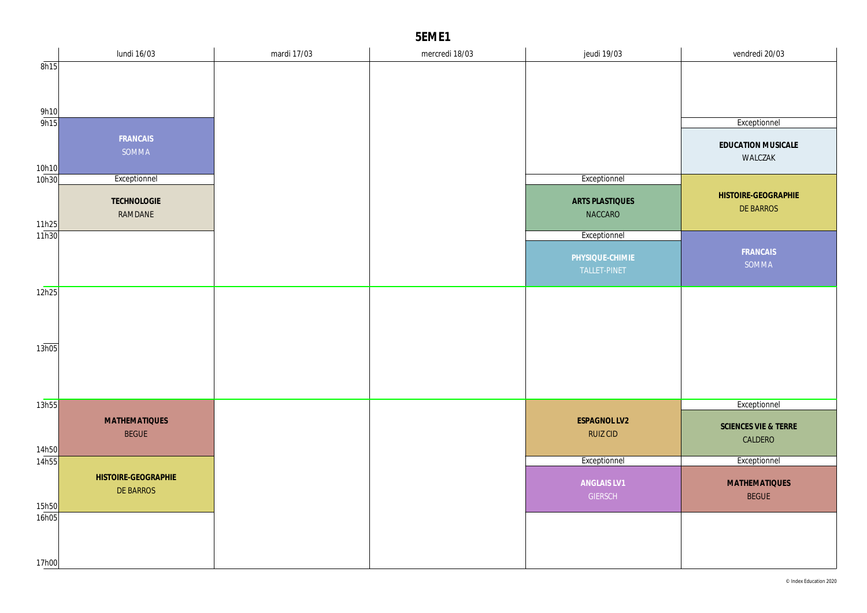|                | lundi 16/03            | mardi 17/03 | mercredi 18/03 | jeudi 19/03                       | vendredi 20/03       |
|----------------|------------------------|-------------|----------------|-----------------------------------|----------------------|
| 8h15           |                        |             |                |                                   |                      |
|                |                        |             |                |                                   |                      |
|                |                        |             |                |                                   |                      |
| 9h10<br>9h15   |                        |             |                |                                   | Exceptionnel         |
|                | FRANCAIS               |             |                |                                   |                      |
|                | SOMMA                  |             |                |                                   | EDUCATION MUSICALE   |
| 10h10          |                        |             |                |                                   | WALCZAK              |
| 10h30          | Exceptionnel           |             |                | Exceptionnel                      |                      |
|                |                        |             |                |                                   | HISTOIRE-GEOGRAPHIE  |
|                | TECHNOLOGIE<br>RAMDANE |             |                | <b>ARTS PLASTIQUES</b><br>NACCARO | DE BARROS            |
| 11h25          |                        |             |                |                                   |                      |
| 11h30          |                        |             |                | Exceptionnel                      |                      |
|                |                        |             |                | PHYSIQUE-CHIMIE                   | FRANCAIS             |
|                |                        |             |                | TALLET-PINET                      | SOMMA                |
| 12h25          |                        |             |                |                                   |                      |
|                |                        |             |                |                                   |                      |
|                |                        |             |                |                                   |                      |
|                |                        |             |                |                                   |                      |
| 13h05          |                        |             |                |                                   |                      |
|                |                        |             |                |                                   |                      |
|                |                        |             |                |                                   |                      |
|                |                        |             |                |                                   |                      |
| 13h55          |                        |             |                |                                   | Exceptionnel         |
|                | <b>MATHEMATIQUES</b>   |             |                | ESPAGNOL LV2                      | SCIENCES VIE & TERRE |
|                | <b>BEGUE</b>           |             |                | <b>RUIZ CID</b>                   | CALDERO              |
| 14h50<br>14h55 |                        |             |                | Exceptionnel                      | Exceptionnel         |
|                | HISTOIRE-GEOGRAPHIE    |             |                |                                   |                      |
|                | DE BARROS              |             |                | ANGLAIS LV1                       | <b>MATHEMATIQUES</b> |
| 15h50          |                        |             |                | <b>GIERSCH</b>                    | <b>BEGUE</b>         |
| 16h05          |                        |             |                |                                   |                      |
|                |                        |             |                |                                   |                      |
|                |                        |             |                |                                   |                      |
| 17h00          |                        |             |                |                                   |                      |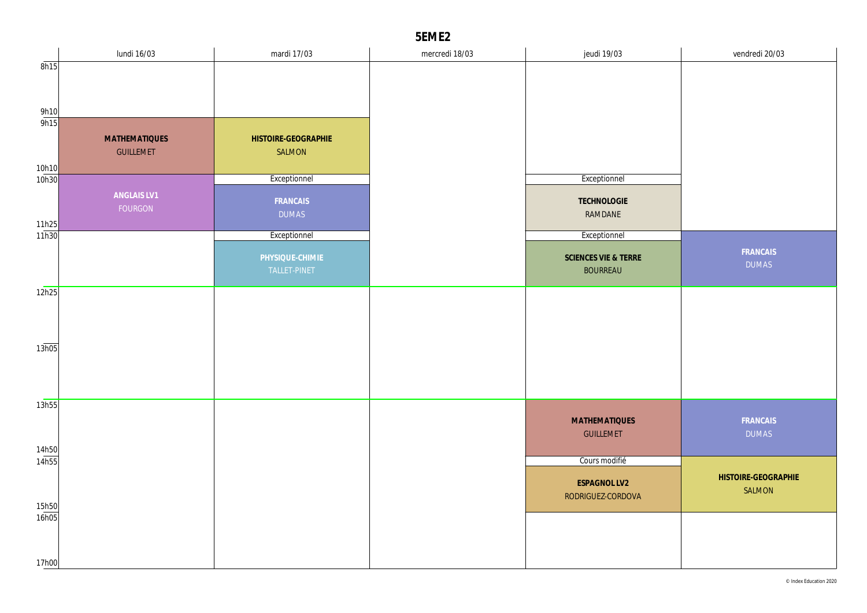|                | lundi 16/03          | mardi 17/03         | mercredi 18/03 | jeudi 19/03          | vendredi 20/03           |
|----------------|----------------------|---------------------|----------------|----------------------|--------------------------|
| 8h15           |                      |                     |                |                      |                          |
|                |                      |                     |                |                      |                          |
|                |                      |                     |                |                      |                          |
| 9h10<br>9h15   |                      |                     |                |                      |                          |
|                | <b>MATHEMATIQUES</b> | HISTOIRE-GEOGRAPHIE |                |                      |                          |
|                | <b>GUILLEMET</b>     | SALMON              |                |                      |                          |
| 10h10          |                      |                     |                |                      |                          |
| 10h30          |                      | Exceptionnel        |                | Exceptionnel         |                          |
|                | ANGLAIS LV1          | FRANCAIS            |                | TECHNOLOGIE          |                          |
|                | FOURGON              | <b>DUMAS</b>        |                | RAMDANE              |                          |
| 11h25          |                      |                     |                |                      |                          |
| 11h30          |                      | Exceptionnel        |                | Exceptionnel         |                          |
|                |                      | PHYSIQUE-CHIMIE     |                | SCIENCES VIE & TERRE | FRANCAIS<br><b>DUMAS</b> |
|                |                      | TALLET-PINET        |                | <b>BOURREAU</b>      |                          |
| 12h25          |                      |                     |                |                      |                          |
|                |                      |                     |                |                      |                          |
|                |                      |                     |                |                      |                          |
|                |                      |                     |                |                      |                          |
| 13h05          |                      |                     |                |                      |                          |
|                |                      |                     |                |                      |                          |
|                |                      |                     |                |                      |                          |
| 13h55          |                      |                     |                |                      |                          |
|                |                      |                     |                | <b>MATHEMATIQUES</b> | FRANCAIS                 |
|                |                      |                     |                | <b>GUILLEMET</b>     | <b>DUMAS</b>             |
| 14h50          |                      |                     |                |                      |                          |
| 14h55          |                      |                     |                | Cours modifié        |                          |
|                |                      |                     |                | <b>ESPAGNOL LV2</b>  | HISTOIRE-GEOGRAPHIE      |
|                |                      |                     |                | RODRIGUEZ-CORDOVA    | SALMON                   |
| 15h50<br>16h05 |                      |                     |                |                      |                          |
|                |                      |                     |                |                      |                          |
|                |                      |                     |                |                      |                          |
| 17h00          |                      |                     |                |                      |                          |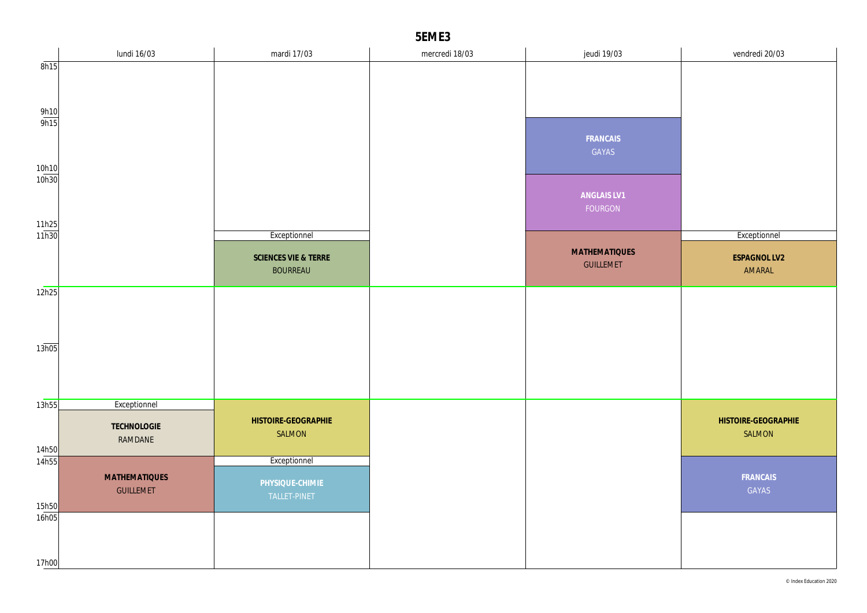|                       | lundi 16/03            | mardi 17/03                             | mercredi 18/03 | jeudi 19/03                              | vendredi 20/03         |
|-----------------------|------------------------|-----------------------------------------|----------------|------------------------------------------|------------------------|
| 8h15                  |                        |                                         |                |                                          |                        |
|                       |                        |                                         |                |                                          |                        |
| $\frac{9h10}{9h15}$   |                        |                                         |                |                                          |                        |
|                       |                        |                                         |                | FRANCAIS<br>GAYAS                        |                        |
| 10h10<br>10h30        |                        |                                         |                |                                          |                        |
|                       |                        |                                         |                | ANGLAIS LV1<br>FOURGON                   |                        |
| $\frac{11h25}{11h30}$ |                        | Exceptionnel                            |                |                                          | Exceptionnel           |
|                       |                        | SCIENCES VIE & TERRE<br><b>BOURREAU</b> |                | <b>MATHEMATIQUES</b><br><b>GUILLEMET</b> | ESPAGNOL LV2<br>AMARAL |
| 12h25                 |                        |                                         |                |                                          |                        |
|                       |                        |                                         |                |                                          |                        |
|                       |                        |                                         |                |                                          |                        |
| 13h05                 |                        |                                         |                |                                          |                        |
|                       |                        |                                         |                |                                          |                        |
|                       |                        |                                         |                |                                          |                        |
| 13h55                 | Exceptionnel           | HISTOIRE-GEOGRAPHIE                     |                |                                          | HISTOIRE-GEOGRAPHIE    |
|                       | TECHNOLOGIE<br>RAMDANE | SALMON                                  |                |                                          | SALMON                 |
| 14h50<br>14h55        |                        | Exceptionnel                            |                |                                          |                        |
|                       | <b>MATHEMATIQUES</b>   |                                         |                |                                          | FRANCAIS               |
|                       | <b>GUILLEMET</b>       | PHYSIQUE-CHIMIE<br>TALLET-PINET         |                |                                          | GAYAS                  |
| 15h50<br>16h05        |                        |                                         |                |                                          |                        |
|                       |                        |                                         |                |                                          |                        |
|                       |                        |                                         |                |                                          |                        |
| 17h00                 |                        |                                         |                |                                          |                        |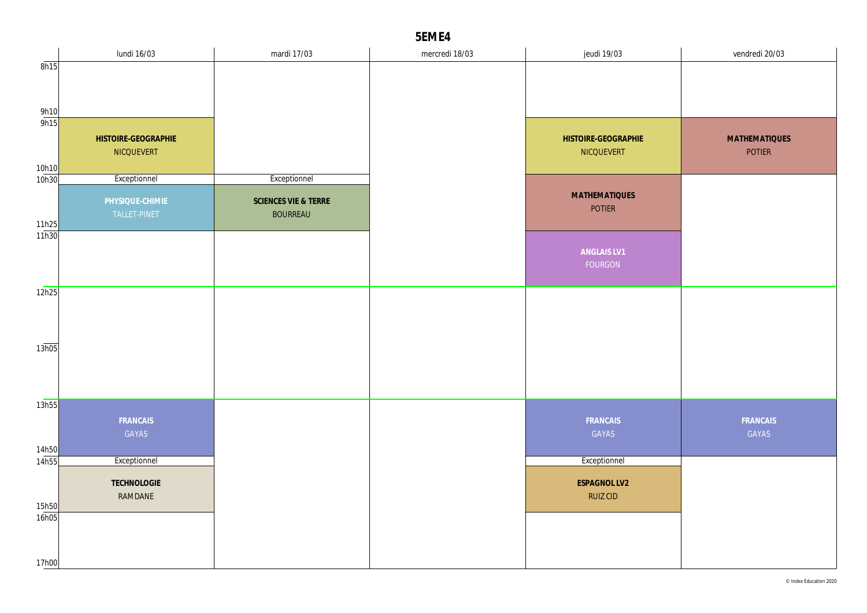|       | lundi 16/03            | mardi 17/03          | mercredi 18/03 | jeudi 19/03                     | vendredi 20/03       |
|-------|------------------------|----------------------|----------------|---------------------------------|----------------------|
| 8h15  |                        |                      |                |                                 |                      |
|       |                        |                      |                |                                 |                      |
|       |                        |                      |                |                                 |                      |
| 9h10  |                        |                      |                |                                 |                      |
| 9h15  |                        |                      |                |                                 |                      |
|       | HISTOIRE-GEOGRAPHIE    |                      |                | HISTOIRE-GEOGRAPHIE             | <b>MATHEMATIQUES</b> |
|       | NICQUEVERT             |                      |                | NICQUEVERT                      | <b>POTIER</b>        |
| 10h10 |                        |                      |                |                                 |                      |
| 10h30 | Exceptionnel           | Exceptionnel         |                |                                 |                      |
|       | PHYSIQUE-CHIMIE        | SCIENCES VIE & TERRE |                | <b>MATHEMATIQUES</b>            |                      |
|       | TALLET-PINET           | <b>BOURREAU</b>      |                | <b>POTIER</b>                   |                      |
| 11h25 |                        |                      |                |                                 |                      |
| 11h30 |                        |                      |                |                                 |                      |
|       |                        |                      |                | ANGLAIS LV1                     |                      |
|       |                        |                      |                | FOURGON                         |                      |
| 12h25 |                        |                      |                |                                 |                      |
|       |                        |                      |                |                                 |                      |
|       |                        |                      |                |                                 |                      |
|       |                        |                      |                |                                 |                      |
| 13h05 |                        |                      |                |                                 |                      |
|       |                        |                      |                |                                 |                      |
|       |                        |                      |                |                                 |                      |
|       |                        |                      |                |                                 |                      |
| 13h55 |                        |                      |                |                                 |                      |
|       | FRANCAIS               |                      |                | FRANCAIS                        | FRANCAIS             |
|       | GAYAS                  |                      |                | GAYAS                           | GAYAS                |
| 14h50 |                        |                      |                |                                 |                      |
| 14h55 | Exceptionnel           |                      |                | Exceptionnel                    |                      |
|       |                        |                      |                |                                 |                      |
|       | TECHNOLOGIE<br>RAMDANE |                      |                | ESPAGNOL LV2<br><b>RUIZ CID</b> |                      |
| 15h50 |                        |                      |                |                                 |                      |
| 16h05 |                        |                      |                |                                 |                      |
|       |                        |                      |                |                                 |                      |
|       |                        |                      |                |                                 |                      |
| 17h00 |                        |                      |                |                                 |                      |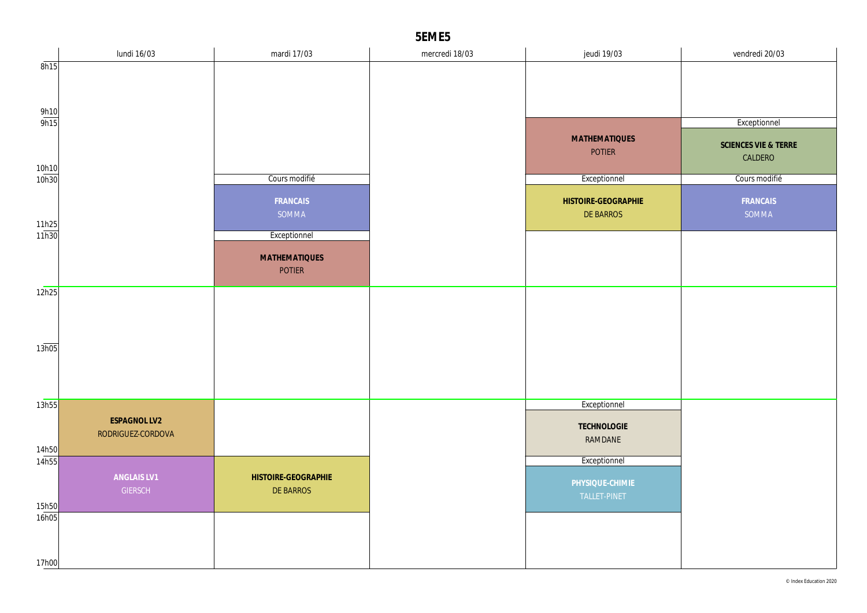|                       | lundi 16/03                       | mardi 17/03          | mercredi 18/03 | jeudi 19/03          | vendredi 20/03       |
|-----------------------|-----------------------------------|----------------------|----------------|----------------------|----------------------|
| 8h15                  |                                   |                      |                |                      |                      |
|                       |                                   |                      |                |                      |                      |
|                       |                                   |                      |                |                      |                      |
| 9h10<br>9h15          |                                   |                      |                |                      | Exceptionnel         |
|                       |                                   |                      |                | <b>MATHEMATIQUES</b> | SCIENCES VIE & TERRE |
|                       |                                   |                      |                | <b>POTIER</b>        | CALDERO              |
| $\frac{10h10}{10h30}$ |                                   | Cours modifié        |                | Exceptionnel         | Cours modifié        |
|                       |                                   |                      |                |                      |                      |
|                       |                                   | FRANCAIS             |                | HISTOIRE-GEOGRAPHIE  | FRANCAIS             |
| $\frac{11h25}{11h30}$ |                                   | SOMMA                |                | DE BARROS            | SOMMA                |
|                       |                                   | Exceptionnel         |                |                      |                      |
|                       |                                   | <b>MATHEMATIQUES</b> |                |                      |                      |
|                       |                                   | <b>POTIER</b>        |                |                      |                      |
| 12h25                 |                                   |                      |                |                      |                      |
|                       |                                   |                      |                |                      |                      |
|                       |                                   |                      |                |                      |                      |
| 13h05                 |                                   |                      |                |                      |                      |
|                       |                                   |                      |                |                      |                      |
|                       |                                   |                      |                |                      |                      |
|                       |                                   |                      |                |                      |                      |
| 13h55                 |                                   |                      |                | Exceptionnel         |                      |
|                       | ESPAGNOL LV2<br>RODRIGUEZ-CORDOVA |                      |                | TECHNOLOGIE          |                      |
| 14h50                 |                                   |                      |                | RAMDANE              |                      |
| 14h55                 |                                   |                      |                | Exceptionnel         |                      |
|                       | ANGLAIS LV1                       | HISTOIRE-GEOGRAPHIE  |                | PHYSIQUE-CHIMIE      |                      |
|                       | <b>GIERSCH</b>                    | DE BARROS            |                | TALLET-PINET         |                      |
| 15h50<br>16h05        |                                   |                      |                |                      |                      |
|                       |                                   |                      |                |                      |                      |
|                       |                                   |                      |                |                      |                      |
| 17h00                 |                                   |                      |                |                      |                      |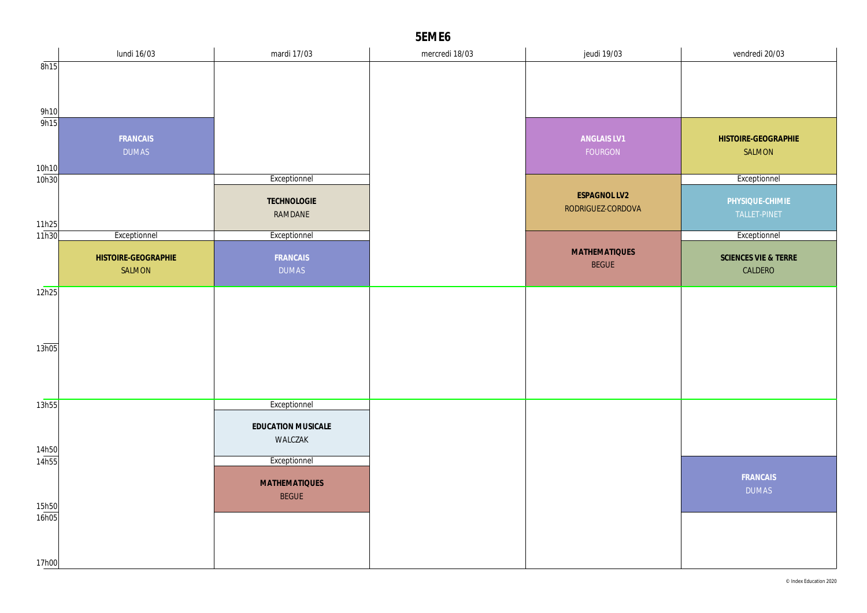|                | lundi 16/03         | mardi 17/03                   | mercredi 18/03 | jeudi 19/03                              | vendredi 20/03       |
|----------------|---------------------|-------------------------------|----------------|------------------------------------------|----------------------|
| 8h15           |                     |                               |                |                                          |                      |
|                |                     |                               |                |                                          |                      |
| 9h10           |                     |                               |                |                                          |                      |
| 9h15           |                     |                               |                |                                          |                      |
|                | FRANCAIS            |                               |                | ANGLAIS LV1                              | HISTOIRE-GEOGRAPHIE  |
|                | <b>DUMAS</b>        |                               |                | FOURGON                                  | SALMON               |
| 10h10<br>10h30 |                     | Exceptionnel                  |                |                                          | Exceptionnel         |
|                |                     |                               |                |                                          |                      |
|                |                     | TECHNOLOGIE                   |                | <b>ESPAGNOL LV2</b><br>RODRIGUEZ-CORDOVA | PHYSIQUE-CHIMIE      |
| 11h25          |                     | RAMDANE                       |                |                                          | TALLET-PINET         |
| 11h30          | Exceptionnel        | Exceptionnel                  |                |                                          | Exceptionnel         |
|                | HISTOIRE-GEOGRAPHIE | FRANCAIS                      |                | <b>MATHEMATIQUES</b>                     | SCIENCES VIE & TERRE |
|                | SALMON              | <b>DUMAS</b>                  |                | <b>BEGUE</b>                             | CALDERO              |
| 12h25          |                     |                               |                |                                          |                      |
|                |                     |                               |                |                                          |                      |
|                |                     |                               |                |                                          |                      |
|                |                     |                               |                |                                          |                      |
| 13h05          |                     |                               |                |                                          |                      |
|                |                     |                               |                |                                          |                      |
|                |                     |                               |                |                                          |                      |
| 13h55          |                     | Exceptionnel                  |                |                                          |                      |
|                |                     |                               |                |                                          |                      |
|                |                     | EDUCATION MUSICALE<br>WALCZAK |                |                                          |                      |
| 14h50          |                     |                               |                |                                          |                      |
| 14h55          |                     | Exceptionnel                  |                |                                          |                      |
|                |                     | <b>MATHEMATIQUES</b>          |                |                                          | FRANCAIS             |
|                |                     | <b>BEGUE</b>                  |                |                                          | <b>DUMAS</b>         |
| 15h50<br>16h05 |                     |                               |                |                                          |                      |
|                |                     |                               |                |                                          |                      |
|                |                     |                               |                |                                          |                      |
| 17h00          |                     |                               |                |                                          |                      |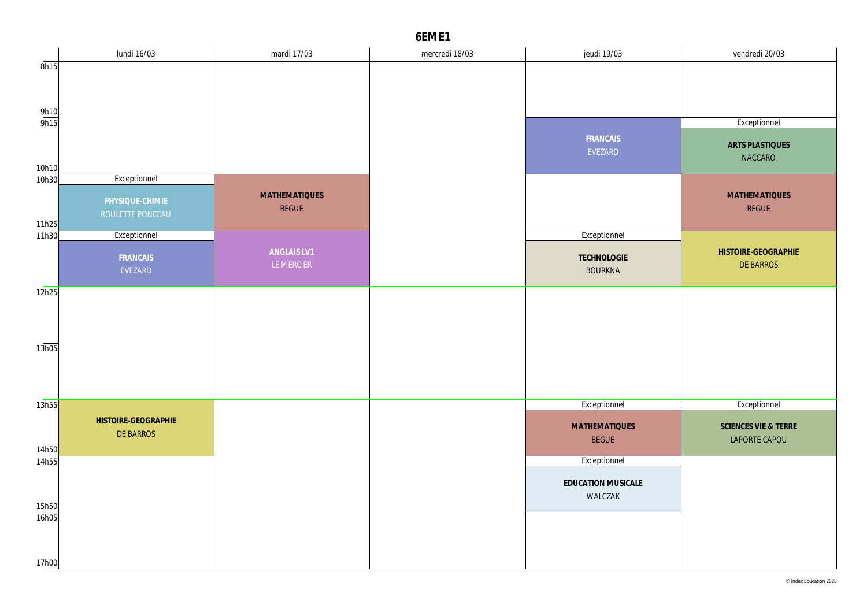|                     | lundi 16/03                             | mardi 17/03                          | mercredi 18/03 | jeudi 19/03                          | vendredi 20/03                        |
|---------------------|-----------------------------------------|--------------------------------------|----------------|--------------------------------------|---------------------------------------|
| 8h15                |                                         |                                      |                |                                      |                                       |
|                     |                                         |                                      |                |                                      |                                       |
| $\frac{9h10}{9h15}$ |                                         |                                      |                |                                      | Exceptionnel                          |
| 10h10               |                                         |                                      |                | FRANCAIS<br>EVEZARD                  | ARTS PLASTIQUES<br>NACCARO            |
| 10h30               | Exceptionnel                            |                                      |                |                                      |                                       |
| 11h25               | PHYSIQUE-CHIMIE<br>ROULETTE PONCEAU     | <b>MATHEMATIQUES</b><br><b>BEGUE</b> |                |                                      | <b>MATHEMATIQUES</b><br><b>BEGUE</b>  |
| 11h30               | Exceptionnel                            |                                      |                | Exceptionnel                         |                                       |
|                     | FRANCAIS<br>EVEZARD                     | ANGLAIS LV1<br>LE MERCIER            |                | TECHNOLOGIE<br><b>BOURKNA</b>        | HISTOIRE-GEOGRAPHIE<br>DE BARROS      |
| 12h25               |                                         |                                      |                |                                      |                                       |
| 13h05               |                                         |                                      |                |                                      |                                       |
|                     |                                         |                                      |                |                                      |                                       |
| 13h55               |                                         |                                      |                | Exceptionnel                         | Exceptionnel                          |
| 14h50               | HISTOIRE-GEOGRAPHIE<br><b>DE BARROS</b> |                                      |                | <b>MATHEMATIQUES</b><br><b>BEGUE</b> | SCIENCES VIE & TERRE<br>LAPORTE CAPOU |
| 14h55               |                                         |                                      |                | Exceptionnel                         |                                       |
| 15h50               |                                         |                                      |                | EDUCATION MUSICALE<br>WALCZAK        |                                       |
| 16h05<br>17h00      |                                         |                                      |                |                                      |                                       |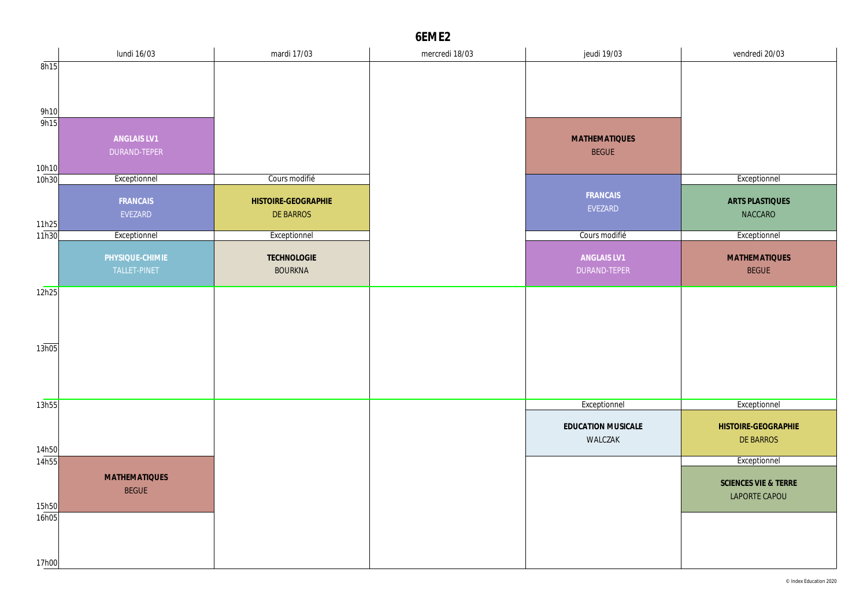|                | lundi 16/03          | mardi 17/03         | mercredi 18/03 | jeudi 19/03                   | vendredi 20/03                   |
|----------------|----------------------|---------------------|----------------|-------------------------------|----------------------------------|
| 8h15           |                      |                     |                |                               |                                  |
|                |                      |                     |                |                               |                                  |
|                |                      |                     |                |                               |                                  |
| 9h10<br>9h15   |                      |                     |                |                               |                                  |
|                | ANGLAIS LV1          |                     |                | <b>MATHEMATIQUES</b>          |                                  |
|                | DURAND-TEPER         |                     |                | <b>BEGUE</b>                  |                                  |
| 10h10          |                      |                     |                |                               |                                  |
| 10h30          | Exceptionnel         | Cours modifié       |                |                               | Exceptionnel                     |
|                | FRANCAIS             | HISTOIRE-GEOGRAPHIE |                | FRANCAIS                      | <b>ARTS PLASTIQUES</b>           |
|                | EVEZARD              | DE BARROS           |                | EVEZARD                       | NACCARO                          |
| 11h25<br>11h30 |                      | Exceptionnel        |                | Cours modifié                 |                                  |
|                | Exceptionnel         |                     |                |                               | Exceptionnel                     |
|                | PHYSIQUE-CHIMIE      | TECHNOLOGIE         |                | ANGLAIS LV1                   | <b>MATHEMATIQUES</b>             |
|                | TALLET-PINET         | <b>BOURKNA</b>      |                | DURAND-TEPER                  | <b>BEGUE</b>                     |
| 12h25          |                      |                     |                |                               |                                  |
|                |                      |                     |                |                               |                                  |
|                |                      |                     |                |                               |                                  |
|                |                      |                     |                |                               |                                  |
| 13h05          |                      |                     |                |                               |                                  |
|                |                      |                     |                |                               |                                  |
|                |                      |                     |                |                               |                                  |
| 13h55          |                      |                     |                | Exceptionnel                  | Exceptionnel                     |
|                |                      |                     |                |                               |                                  |
|                |                      |                     |                | EDUCATION MUSICALE<br>WALCZAK | HISTOIRE-GEOGRAPHIE<br>DE BARROS |
| 14h50          |                      |                     |                |                               |                                  |
| 14h55          |                      |                     |                |                               | Exceptionnel                     |
|                | <b>MATHEMATIQUES</b> |                     |                |                               | SCIENCES VIE & TERRE             |
|                | <b>BEGUE</b>         |                     |                |                               | LAPORTE CAPOU                    |
| 15h50<br>16h05 |                      |                     |                |                               |                                  |
|                |                      |                     |                |                               |                                  |
|                |                      |                     |                |                               |                                  |
| 17h00          |                      |                     |                |                               |                                  |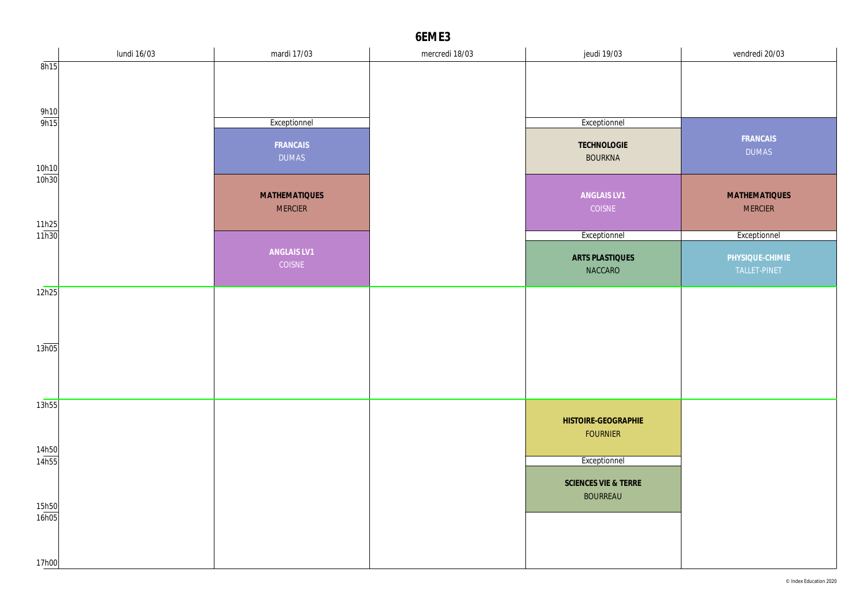|                       | lundi 16/03 | mardi 17/03                            | mercredi 18/03 | jeudi 19/03                             | vendredi 20/03                         |
|-----------------------|-------------|----------------------------------------|----------------|-----------------------------------------|----------------------------------------|
| 8h15                  |             |                                        |                |                                         |                                        |
|                       |             |                                        |                |                                         |                                        |
| $\frac{9h10}{9h15}$   |             | Exceptionnel                           |                | Exceptionnel                            |                                        |
| 10h10                 |             | FRANCAIS<br><b>DUMAS</b>               |                | TECHNOLOGIE<br><b>BOURKNA</b>           | FRANCAIS<br><b>DUMAS</b>               |
| 10h30                 |             | <b>MATHEMATIQUES</b><br><b>MERCIER</b> |                | ANGLAIS LV1<br>COISNE                   | <b>MATHEMATIQUES</b><br><b>MERCIER</b> |
|                       |             |                                        |                |                                         |                                        |
| $\frac{11h25}{11h30}$ |             |                                        |                | Exceptionnel                            | Exceptionnel                           |
|                       |             | ANGLAIS LV1<br>COISNE                  |                | <b>ARTS PLASTIQUES</b><br>NACCARO       | PHYSIQUE-CHIMIE<br>TALLET-PINET        |
| 12h25                 |             |                                        |                |                                         |                                        |
|                       |             |                                        |                |                                         |                                        |
| 13h05                 |             |                                        |                |                                         |                                        |
|                       |             |                                        |                |                                         |                                        |
| 13h55                 |             |                                        |                | HISTOIRE-GEOGRAPHIE                     |                                        |
|                       |             |                                        |                | <b>FOURNIER</b>                         |                                        |
| 14h50<br>14h55        |             |                                        |                |                                         |                                        |
|                       |             |                                        |                | Exceptionnel                            |                                        |
|                       |             |                                        |                | SCIENCES VIE & TERRE<br><b>BOURREAU</b> |                                        |
| 15h50<br>16h05        |             |                                        |                |                                         |                                        |
| 17h00                 |             |                                        |                |                                         |                                        |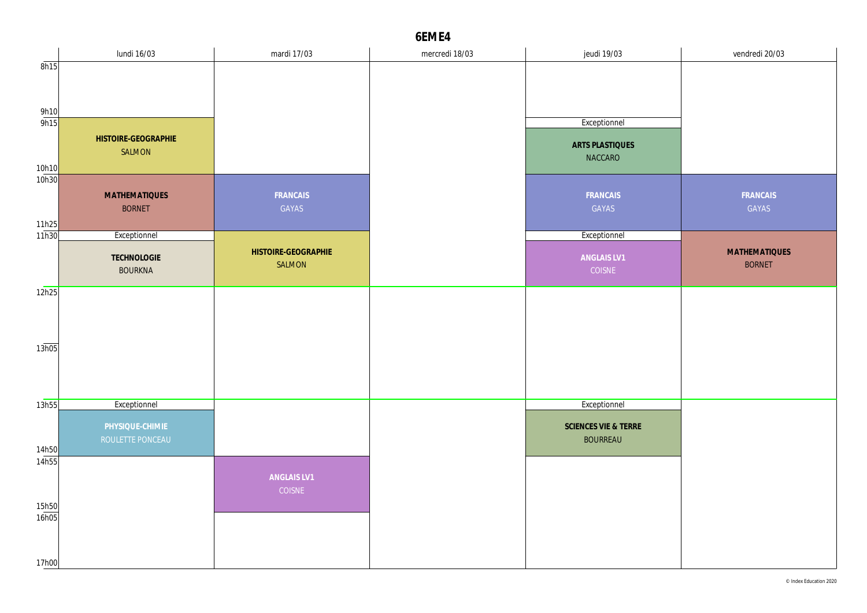|                     | lundi 16/03          | mardi 17/03         | mercredi 18/03 | jeudi 19/03          | vendredi 20/03       |
|---------------------|----------------------|---------------------|----------------|----------------------|----------------------|
| 8h15                |                      |                     |                |                      |                      |
|                     |                      |                     |                |                      |                      |
|                     |                      |                     |                |                      |                      |
| $\frac{9h10}{9h15}$ |                      |                     |                |                      |                      |
|                     |                      |                     |                | Exceptionnel         |                      |
|                     | HISTOIRE-GEOGRAPHIE  |                     |                | ARTS PLASTIQUES      |                      |
|                     | SALMON               |                     |                | NACCARO              |                      |
| 10h10               |                      |                     |                |                      |                      |
| 10h30               |                      |                     |                |                      |                      |
|                     | <b>MATHEMATIQUES</b> | FRANCAIS            |                | FRANCAIS             | FRANCAIS             |
|                     | <b>BORNET</b>        | GAYAS               |                | GAYAS                | GAYAS                |
|                     |                      |                     |                |                      |                      |
| 11h25<br>11h30      | Exceptionnel         |                     |                | Exceptionnel         |                      |
|                     | <b>TECHNOLOGIE</b>   | HISTOIRE-GEOGRAPHIE |                | ANGLAIS LV1          | <b>MATHEMATIQUES</b> |
|                     | <b>BOURKNA</b>       | SALMON              |                | COISNE               | <b>BORNET</b>        |
|                     |                      |                     |                |                      |                      |
| 12h25               |                      |                     |                |                      |                      |
|                     |                      |                     |                |                      |                      |
|                     |                      |                     |                |                      |                      |
|                     |                      |                     |                |                      |                      |
| 13h05               |                      |                     |                |                      |                      |
|                     |                      |                     |                |                      |                      |
|                     |                      |                     |                |                      |                      |
|                     |                      |                     |                |                      |                      |
| 13h55               | Exceptionnel         |                     |                | Exceptionnel         |                      |
|                     | PHYSIQUE-CHIMIE      |                     |                | SCIENCES VIE & TERRE |                      |
|                     | ROULETTE PONCEAU     |                     |                | <b>BOURREAU</b>      |                      |
| 14h50               |                      |                     |                |                      |                      |
| 14h55               |                      |                     |                |                      |                      |
|                     |                      | ANGLAIS LV1         |                |                      |                      |
|                     |                      | COISNE              |                |                      |                      |
| 15h50               |                      |                     |                |                      |                      |
| 16h05               |                      |                     |                |                      |                      |
|                     |                      |                     |                |                      |                      |
|                     |                      |                     |                |                      |                      |
| 17h00               |                      |                     |                |                      |                      |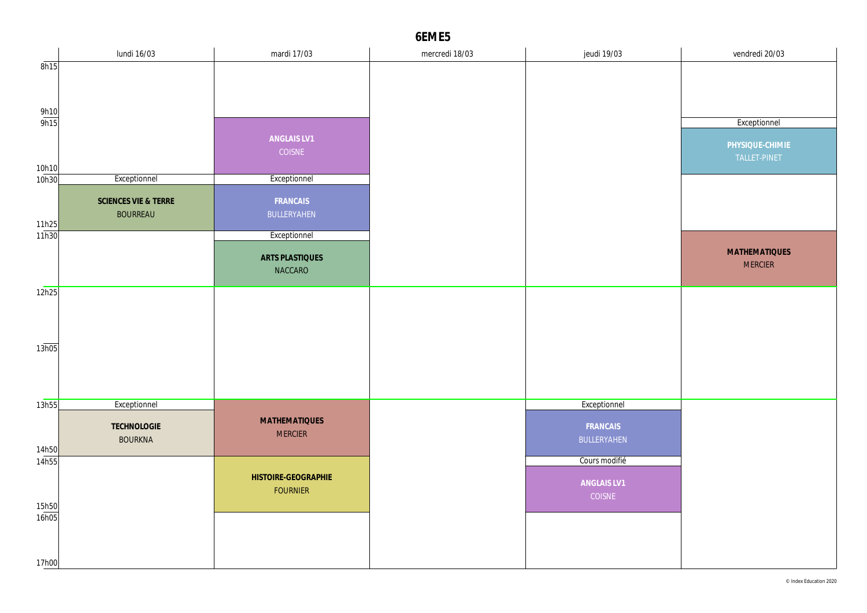|                     | lundi 16/03          | mardi 17/03                            | mercredi 18/03 | jeudi 19/03   | vendredi 20/03       |
|---------------------|----------------------|----------------------------------------|----------------|---------------|----------------------|
| 8h15                |                      |                                        |                |               |                      |
|                     |                      |                                        |                |               |                      |
|                     |                      |                                        |                |               |                      |
| $\frac{9h10}{9h15}$ |                      |                                        |                |               |                      |
|                     |                      |                                        |                |               | Exceptionnel         |
|                     |                      | ANGLAIS LV1                            |                |               | PHYSIQUE-CHIMIE      |
|                     |                      | COISNE                                 |                |               | TALLET-PINET         |
| 10h10<br>10h30      | Exceptionnel         | Exceptionnel                           |                |               |                      |
|                     |                      |                                        |                |               |                      |
|                     | SCIENCES VIE & TERRE | FRANCAIS                               |                |               |                      |
| 11h25               | <b>BOURREAU</b>      | BULLERYAHEN                            |                |               |                      |
| 11h30               |                      | Exceptionnel                           |                |               |                      |
|                     |                      |                                        |                |               | <b>MATHEMATIQUES</b> |
|                     |                      | ARTS PLASTIQUES                        |                |               | <b>MERCIER</b>       |
|                     |                      | NACCARO                                |                |               |                      |
| 12h25               |                      |                                        |                |               |                      |
|                     |                      |                                        |                |               |                      |
|                     |                      |                                        |                |               |                      |
|                     |                      |                                        |                |               |                      |
| 13h05               |                      |                                        |                |               |                      |
|                     |                      |                                        |                |               |                      |
|                     |                      |                                        |                |               |                      |
|                     |                      |                                        |                |               |                      |
| 13h55               | Exceptionnel         |                                        |                | Exceptionnel  |                      |
|                     | TECHNOLOGIE          | <b>MATHEMATIQUES</b>                   |                | FRANCAIS      |                      |
|                     | <b>BOURKNA</b>       | <b>MERCIER</b>                         |                | BULLERYAHEN   |                      |
| 14h50<br>14h55      |                      |                                        |                | Cours modifié |                      |
|                     |                      |                                        |                |               |                      |
|                     |                      | HISTOIRE-GEOGRAPHIE<br><b>FOURNIER</b> |                | ANGLAIS LV1   |                      |
| 15h50               |                      |                                        |                | COISNE        |                      |
| 16h05               |                      |                                        |                |               |                      |
|                     |                      |                                        |                |               |                      |
|                     |                      |                                        |                |               |                      |
| 17h00               |                      |                                        |                |               |                      |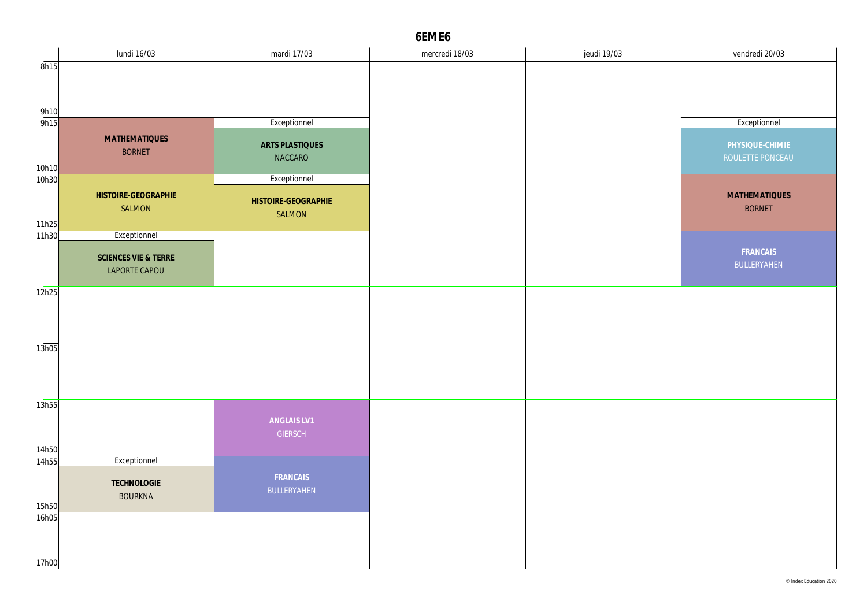|                | lundi 16/03          | mardi 17/03         | mercredi 18/03 | jeudi 19/03 | vendredi 20/03       |
|----------------|----------------------|---------------------|----------------|-------------|----------------------|
| 8h15           |                      |                     |                |             |                      |
|                |                      |                     |                |             |                      |
|                |                      |                     |                |             |                      |
| 9h10           |                      |                     |                |             |                      |
| 9h15           |                      | Exceptionnel        |                |             | Exceptionnel         |
|                | <b>MATHEMATIQUES</b> | ARTS PLASTIQUES     |                |             | PHYSIQUE-CHIMIE      |
|                | <b>BORNET</b>        | NACCARO             |                |             | ROULETTE PONCEAU     |
| 10h10<br>10h30 |                      |                     |                |             |                      |
|                |                      | Exceptionnel        |                |             |                      |
|                | HISTOIRE-GEOGRAPHIE  | HISTOIRE-GEOGRAPHIE |                |             | <b>MATHEMATIQUES</b> |
|                | SALMON               | SALMON              |                |             | <b>BORNET</b>        |
| 11h25<br>11h30 | Exceptionnel         |                     |                |             |                      |
|                |                      |                     |                |             | FRANCAIS             |
|                | SCIENCES VIE & TERRE |                     |                |             | BULLERYAHEN          |
|                | LAPORTE CAPOU        |                     |                |             |                      |
| 12h25          |                      |                     |                |             |                      |
|                |                      |                     |                |             |                      |
|                |                      |                     |                |             |                      |
|                |                      |                     |                |             |                      |
| 13h05          |                      |                     |                |             |                      |
|                |                      |                     |                |             |                      |
|                |                      |                     |                |             |                      |
|                |                      |                     |                |             |                      |
| 13h55          |                      |                     |                |             |                      |
|                |                      | ANGLAIS LV1         |                |             |                      |
|                |                      | <b>GIERSCH</b>      |                |             |                      |
| 14h50          |                      |                     |                |             |                      |
| 14h55          | Exceptionnel         |                     |                |             |                      |
|                | TECHNOLOGIE          | FRANCAIS            |                |             |                      |
|                | <b>BOURKNA</b>       | BULLERYAHEN         |                |             |                      |
| 15h50<br>16h05 |                      |                     |                |             |                      |
|                |                      |                     |                |             |                      |
|                |                      |                     |                |             |                      |
| 17h00          |                      |                     |                |             |                      |
|                |                      |                     |                |             |                      |